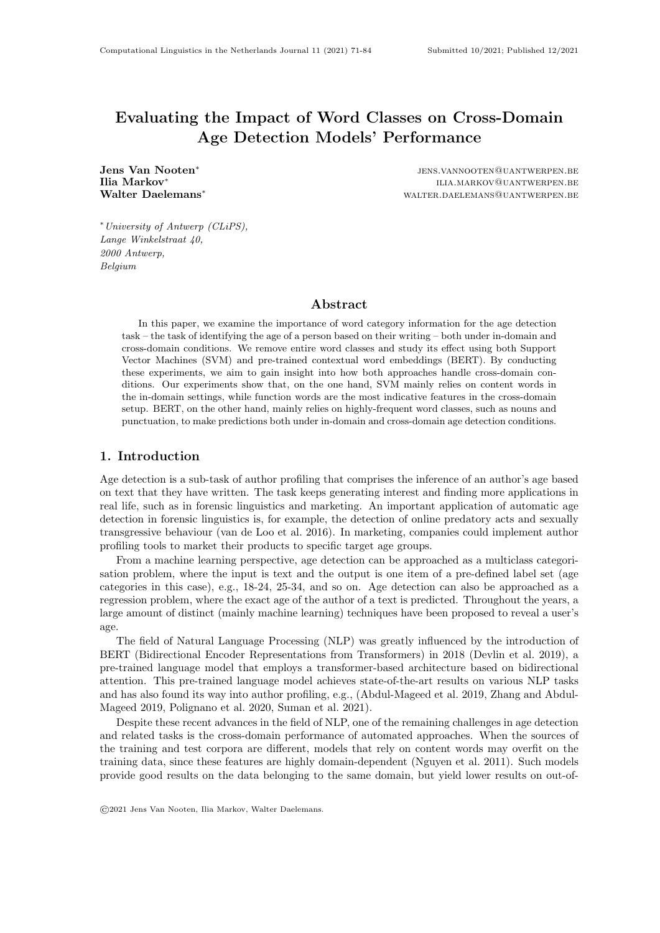# Evaluating the Impact of Word Classes on Cross-Domain Age Detection Models' Performance

Jens Van Nooten<sup>∗</sup> Ilia Markov<sup>∗</sup><br>Walter Daelemans<sup>∗</sup>

jens.vannooten@uantwerpen.be ilia.markov@uantwerpen.be WALTER DAELEMANS@UANTWERPEN.BE

<sup>∗</sup>University of Antwerp (CLiPS), Lange Winkelstraat 40, 2000 Antwerp, Belgium

### Abstract

In this paper, we examine the importance of word category information for the age detection task – the task of identifying the age of a person based on their writing – both under in-domain and cross-domain conditions. We remove entire word classes and study its effect using both Support Vector Machines (SVM) and pre-trained contextual word embeddings (BERT). By conducting these experiments, we aim to gain insight into how both approaches handle cross-domain conditions. Our experiments show that, on the one hand, SVM mainly relies on content words in the in-domain settings, while function words are the most indicative features in the cross-domain setup. BERT, on the other hand, mainly relies on highly-frequent word classes, such as nouns and punctuation, to make predictions both under in-domain and cross-domain age detection conditions.

## 1. Introduction

Age detection is a sub-task of author profiling that comprises the inference of an author's age based on text that they have written. The task keeps generating interest and finding more applications in real life, such as in forensic linguistics and marketing. An important application of automatic age detection in forensic linguistics is, for example, the detection of online predatory acts and sexually transgressive behaviour (van de Loo et al. 2016). In marketing, companies could implement author profiling tools to market their products to specific target age groups.

From a machine learning perspective, age detection can be approached as a multiclass categorisation problem, where the input is text and the output is one item of a pre-defined label set (age categories in this case), e.g., 18-24, 25-34, and so on. Age detection can also be approached as a regression problem, where the exact age of the author of a text is predicted. Throughout the years, a large amount of distinct (mainly machine learning) techniques have been proposed to reveal a user's age.

The field of Natural Language Processing (NLP) was greatly influenced by the introduction of BERT (Bidirectional Encoder Representations from Transformers) in 2018 (Devlin et al. 2019), a pre-trained language model that employs a transformer-based architecture based on bidirectional attention. This pre-trained language model achieves state-of-the-art results on various NLP tasks and has also found its way into author profiling, e.g., (Abdul-Mageed et al. 2019, Zhang and Abdul-Mageed 2019, Polignano et al. 2020, Suman et al. 2021).

Despite these recent advances in the field of NLP, one of the remaining challenges in age detection and related tasks is the cross-domain performance of automated approaches. When the sources of the training and test corpora are different, models that rely on content words may overfit on the training data, since these features are highly domain-dependent (Nguyen et al. 2011). Such models provide good results on the data belonging to the same domain, but yield lower results on out-of-

<sup>©</sup>2021 Jens Van Nooten, Ilia Markov, Walter Daelemans.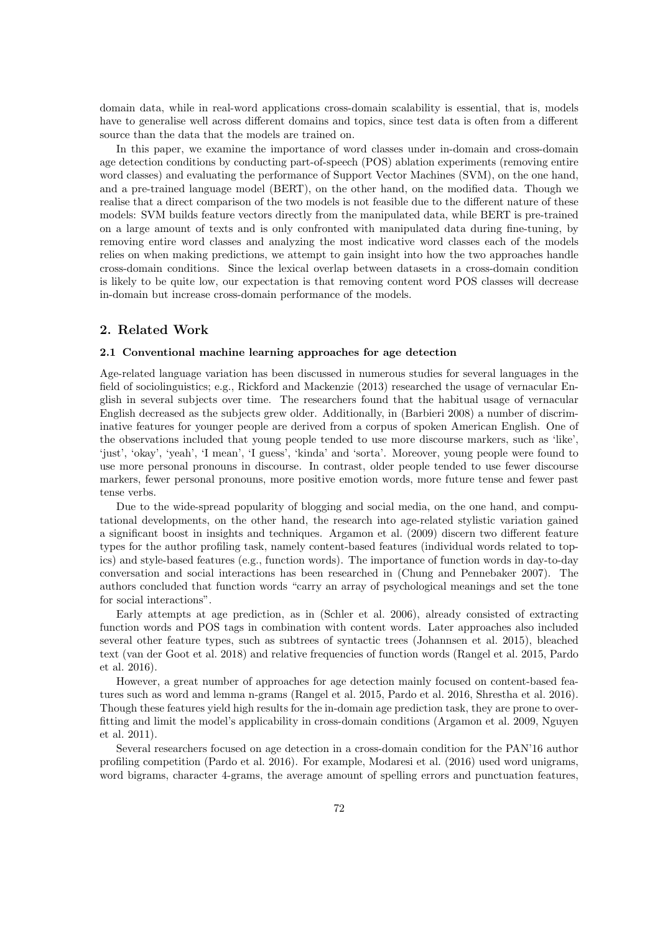domain data, while in real-word applications cross-domain scalability is essential, that is, models have to generalise well across different domains and topics, since test data is often from a different source than the data that the models are trained on.

In this paper, we examine the importance of word classes under in-domain and cross-domain age detection conditions by conducting part-of-speech (POS) ablation experiments (removing entire word classes) and evaluating the performance of Support Vector Machines (SVM), on the one hand, and a pre-trained language model (BERT), on the other hand, on the modified data. Though we realise that a direct comparison of the two models is not feasible due to the different nature of these models: SVM builds feature vectors directly from the manipulated data, while BERT is pre-trained on a large amount of texts and is only confronted with manipulated data during fine-tuning, by removing entire word classes and analyzing the most indicative word classes each of the models relies on when making predictions, we attempt to gain insight into how the two approaches handle cross-domain conditions. Since the lexical overlap between datasets in a cross-domain condition is likely to be quite low, our expectation is that removing content word POS classes will decrease in-domain but increase cross-domain performance of the models.

## 2. Related Work

#### 2.1 Conventional machine learning approaches for age detection

Age-related language variation has been discussed in numerous studies for several languages in the field of sociolinguistics; e.g., Rickford and Mackenzie (2013) researched the usage of vernacular English in several subjects over time. The researchers found that the habitual usage of vernacular English decreased as the subjects grew older. Additionally, in (Barbieri 2008) a number of discriminative features for younger people are derived from a corpus of spoken American English. One of the observations included that young people tended to use more discourse markers, such as 'like', 'just', 'okay', 'yeah', 'I mean', 'I guess', 'kinda' and 'sorta'. Moreover, young people were found to use more personal pronouns in discourse. In contrast, older people tended to use fewer discourse markers, fewer personal pronouns, more positive emotion words, more future tense and fewer past tense verbs.

Due to the wide-spread popularity of blogging and social media, on the one hand, and computational developments, on the other hand, the research into age-related stylistic variation gained a significant boost in insights and techniques. Argamon et al. (2009) discern two different feature types for the author profiling task, namely content-based features (individual words related to topics) and style-based features (e.g., function words). The importance of function words in day-to-day conversation and social interactions has been researched in (Chung and Pennebaker 2007). The authors concluded that function words "carry an array of psychological meanings and set the tone for social interactions".

Early attempts at age prediction, as in (Schler et al. 2006), already consisted of extracting function words and POS tags in combination with content words. Later approaches also included several other feature types, such as subtrees of syntactic trees (Johannsen et al. 2015), bleached text (van der Goot et al. 2018) and relative frequencies of function words (Rangel et al. 2015, Pardo et al. 2016).

However, a great number of approaches for age detection mainly focused on content-based features such as word and lemma n-grams (Rangel et al. 2015, Pardo et al. 2016, Shrestha et al. 2016). Though these features yield high results for the in-domain age prediction task, they are prone to overfitting and limit the model's applicability in cross-domain conditions (Argamon et al. 2009, Nguyen et al. 2011).

Several researchers focused on age detection in a cross-domain condition for the PAN'16 author profiling competition (Pardo et al. 2016). For example, Modaresi et al. (2016) used word unigrams, word bigrams, character 4-grams, the average amount of spelling errors and punctuation features,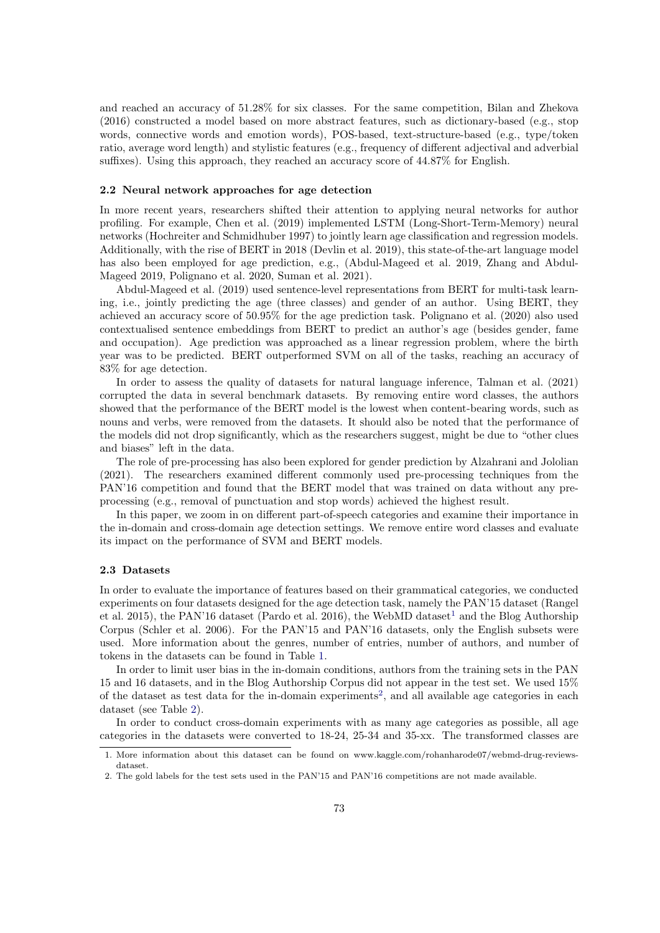and reached an accuracy of 51.28% for six classes. For the same competition, Bilan and Zhekova (2016) constructed a model based on more abstract features, such as dictionary-based (e.g., stop words, connective words and emotion words), POS-based, text-structure-based (e.g., type/token ratio, average word length) and stylistic features (e.g., frequency of different adjectival and adverbial suffixes). Using this approach, they reached an accuracy score of 44.87% for English.

#### 2.2 Neural network approaches for age detection

In more recent years, researchers shifted their attention to applying neural networks for author profiling. For example, Chen et al. (2019) implemented LSTM (Long-Short-Term-Memory) neural networks (Hochreiter and Schmidhuber 1997) to jointly learn age classification and regression models. Additionally, with the rise of BERT in 2018 (Devlin et al. 2019), this state-of-the-art language model has also been employed for age prediction, e.g., (Abdul-Mageed et al. 2019, Zhang and Abdul-Mageed 2019, Polignano et al. 2020, Suman et al. 2021).

Abdul-Mageed et al. (2019) used sentence-level representations from BERT for multi-task learning, i.e., jointly predicting the age (three classes) and gender of an author. Using BERT, they achieved an accuracy score of 50.95% for the age prediction task. Polignano et al. (2020) also used contextualised sentence embeddings from BERT to predict an author's age (besides gender, fame and occupation). Age prediction was approached as a linear regression problem, where the birth year was to be predicted. BERT outperformed SVM on all of the tasks, reaching an accuracy of 83% for age detection.

In order to assess the quality of datasets for natural language inference, Talman et al. (2021) corrupted the data in several benchmark datasets. By removing entire word classes, the authors showed that the performance of the BERT model is the lowest when content-bearing words, such as nouns and verbs, were removed from the datasets. It should also be noted that the performance of the models did not drop significantly, which as the researchers suggest, might be due to "other clues and biases" left in the data.

The role of pre-processing has also been explored for gender prediction by Alzahrani and Jololian (2021). The researchers examined different commonly used pre-processing techniques from the PAN'16 competition and found that the BERT model that was trained on data without any preprocessing (e.g., removal of punctuation and stop words) achieved the highest result.

In this paper, we zoom in on different part-of-speech categories and examine their importance in the in-domain and cross-domain age detection settings. We remove entire word classes and evaluate its impact on the performance of SVM and BERT models.

#### 2.3 Datasets

In order to evaluate the importance of features based on their grammatical categories, we conducted experiments on four datasets designed for the age detection task, namely the PAN'15 dataset (Rangel et al. 20[1](#page-2-0)5), the PAN'16 dataset (Pardo et al. 2016), the WebMD dataset<sup>1</sup> and the Blog Authorship Corpus (Schler et al. 2006). For the PAN'15 and PAN'16 datasets, only the English subsets were used. More information about the genres, number of entries, number of authors, and number of tokens in the datasets can be found in Table [1.](#page-3-0)

In order to limit user bias in the in-domain conditions, authors from the training sets in the PAN 15 and 16 datasets, and in the Blog Authorship Corpus did not appear in the test set. We used 15% of the dataset as test data for the in-domain experiments<sup>[2](#page-2-1)</sup>, and all available age categories in each dataset (see Table [2\)](#page-3-1).

In order to conduct cross-domain experiments with as many age categories as possible, all age categories in the datasets were converted to 18-24, 25-34 and 35-xx. The transformed classes are

<span id="page-2-0"></span><sup>1.</sup> More information about this dataset can be found on www.kaggle.com/rohanharode07/webmd-drug-reviewsdataset.

<span id="page-2-1"></span><sup>2.</sup> The gold labels for the test sets used in the PAN'15 and PAN'16 competitions are not made available.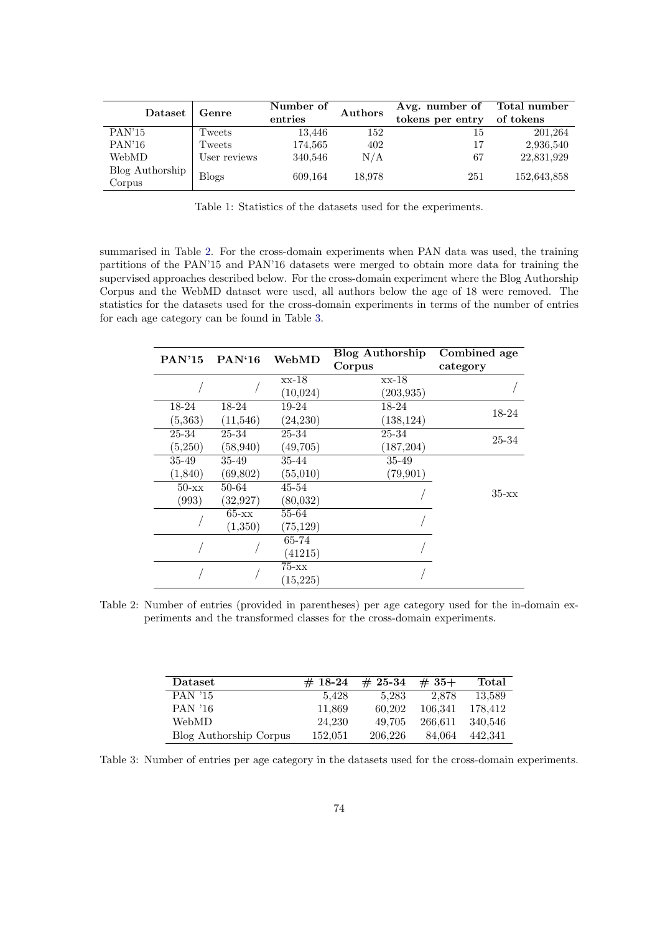<span id="page-3-0"></span>

| Dataset                   | Genre        | Number of<br>entries | Authors | Avg. number of<br>tokens per entry | Total number<br>of tokens |
|---------------------------|--------------|----------------------|---------|------------------------------------|---------------------------|
| PAN'15                    | Tweets       | 13,446               | 152     | 15                                 | 201,264                   |
| PAN'16                    | Tweets       | 174,565              | 402     | 17                                 | 2,936,540                 |
| WebMD                     | User reviews | 340,546              | N/A     | 67                                 | 22,831,929                |
| Blog Authorship<br>Corpus | <b>Blogs</b> | 609,164              | 18.978  | 251                                | 152,643,858               |

Table 1: Statistics of the datasets used for the experiments.

summarised in Table [2.](#page-3-1) For the cross-domain experiments when PAN data was used, the training partitions of the PAN'15 and PAN'16 datasets were merged to obtain more data for training the supervised approaches described below. For the cross-domain experiment where the Blog Authorship Corpus and the WebMD dataset were used, all authors below the age of 18 were removed. The statistics for the datasets used for the cross-domain experiments in terms of the number of entries for each age category can be found in Table [3.](#page-3-2)

<span id="page-3-1"></span>

| <b>PAN'15</b> | PAN'16    | WebMD     | <b>Blog Authorship</b> | Combined age |
|---------------|-----------|-----------|------------------------|--------------|
|               |           |           | Corpus                 | category     |
|               |           | xx-18     | $xx-18$                |              |
|               |           | (10,024)  | (203, 935)             |              |
| 18-24         | 18-24     | $19-24$   | 18-24                  | 18-24        |
| (5,363)       | (11, 546) | (24, 230) | (138, 124)             |              |
| 25-34         | 25-34     | 25-34     | 25-34                  | 25-34        |
| (5,250)       | (58, 940) | (49,705)  | (187, 204)             |              |
| 35-49         | 35-49     | 35-44     | 35-49                  |              |
| (1, 840)      | (69, 802) | (55,010)  | (79, 901)              |              |
| $50 - xx$     | 50-64     | 45-54     |                        | $35 - xx$    |
| (993)         | (32, 927) | (80,032)  |                        |              |
|               | $65 - xx$ | 55-64     |                        |              |
|               | (1,350)   | (75, 129) |                        |              |
|               |           | 65-74     |                        |              |
|               |           | (41215)   |                        |              |
|               |           | $75 - xx$ |                        |              |
|               |           | (15, 225) |                        |              |

Table 2: Number of entries (provided in parentheses) per age category used for the in-domain experiments and the transformed classes for the cross-domain experiments.

<span id="page-3-2"></span>

| Dataset                | $# 18-24$ | $#25-34$ | $#35+$  | Total   |
|------------------------|-----------|----------|---------|---------|
| <b>PAN</b> '15         | 5.428     | 5.283    | 2.878   | 13.589  |
| PAN '16                | 11,869    | 60.202   | 106.341 | 178.412 |
| WebMD                  | 24.230    | 49.705   | 266.611 | 340.546 |
| Blog Authorship Corpus | 152.051   | 206.226  | 84.064  | 442.341 |

Table 3: Number of entries per age category in the datasets used for the cross-domain experiments.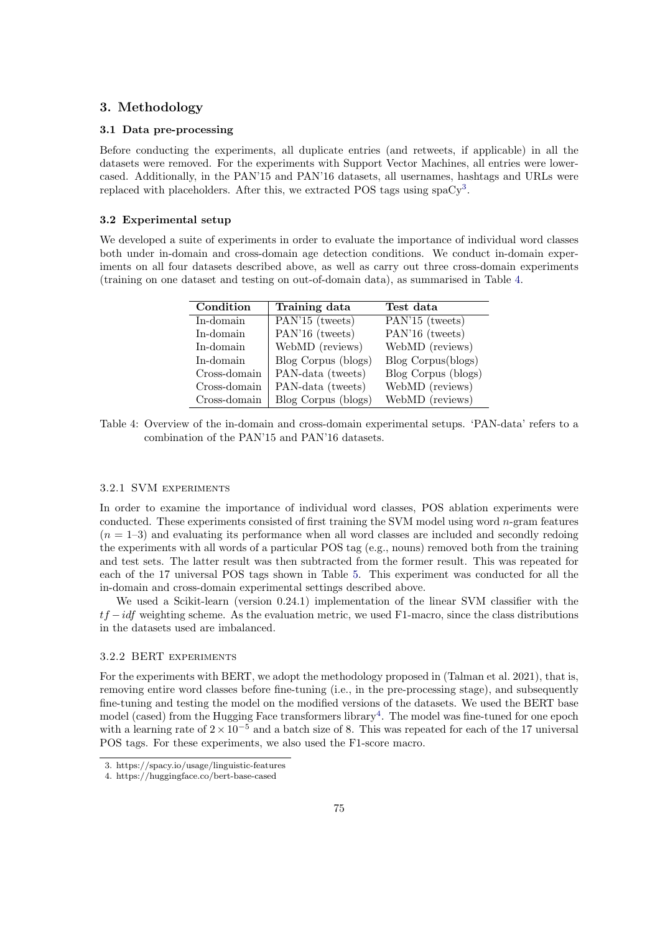# 3. Methodology

#### 3.1 Data pre-processing

Before conducting the experiments, all duplicate entries (and retweets, if applicable) in all the datasets were removed. For the experiments with Support Vector Machines, all entries were lowercased. Additionally, in the PAN'15 and PAN'16 datasets, all usernames, hashtags and URLs were replaced with placeholders. After this, we extracted POS tags using  $spaCy^{3}$  $spaCy^{3}$  $spaCy^{3}$ .

#### 3.2 Experimental setup

<span id="page-4-1"></span>We developed a suite of experiments in order to evaluate the importance of individual word classes both under in-domain and cross-domain age detection conditions. We conduct in-domain experiments on all four datasets described above, as well as carry out three cross-domain experiments (training on one dataset and testing on out-of-domain data), as summarised in Table [4.](#page-4-1)

| Condition    | Training data       | Test data           |
|--------------|---------------------|---------------------|
| In-domain    | PAN'15 (tweets)     | PAN'15 (tweets)     |
| In-domain    | PAN'16 (tweets)     | PAN'16 (tweets)     |
| In-domain    | WebMD (reviews)     | WebMD (reviews)     |
| In-domain    | Blog Corpus (blogs) | Blog Corpus(blogs)  |
| Cross-domain | PAN-data (tweets)   | Blog Corpus (blogs) |
| Cross-domain | PAN-data (tweets)   | WebMD (reviews)     |
| Cross-domain | Blog Corpus (blogs) | WebMD (reviews)     |

Table 4: Overview of the in-domain and cross-domain experimental setups. 'PAN-data' refers to a combination of the PAN'15 and PAN'16 datasets.

#### 3.2.1 SVM experiments

In order to examine the importance of individual word classes, POS ablation experiments were conducted. These experiments consisted of first training the SVM model using word  $n$ -gram features  $(n = 1-3)$  and evaluating its performance when all word classes are included and secondly redoing the experiments with all words of a particular POS tag (e.g., nouns) removed both from the training and test sets. The latter result was then subtracted from the former result. This was repeated for each of the 17 universal POS tags shown in Table [5.](#page-5-0) This experiment was conducted for all the in-domain and cross-domain experimental settings described above.

We used a Scikit-learn (version 0.24.1) implementation of the linear SVM classifier with the  $tf -idf$  weighting scheme. As the evaluation metric, we used F1-macro, since the class distributions in the datasets used are imbalanced.

#### 3.2.2 BERT experiments

For the experiments with BERT, we adopt the methodology proposed in (Talman et al. 2021), that is, removing entire word classes before fine-tuning (i.e., in the pre-processing stage), and subsequently fine-tuning and testing the model on the modified versions of the datasets. We used the BERT base model (cased) from the Hugging Face transformers library<sup>[4](#page-4-2)</sup>. The model was fine-tuned for one epoch with a learning rate of  $2 \times 10^{-5}$  and a batch size of 8. This was repeated for each of the 17 universal POS tags. For these experiments, we also used the F1-score macro.

<span id="page-4-0"></span><sup>3.</sup> https://spacy.io/usage/linguistic-features

<span id="page-4-2"></span><sup>4.</sup> https://huggingface.co/bert-base-cased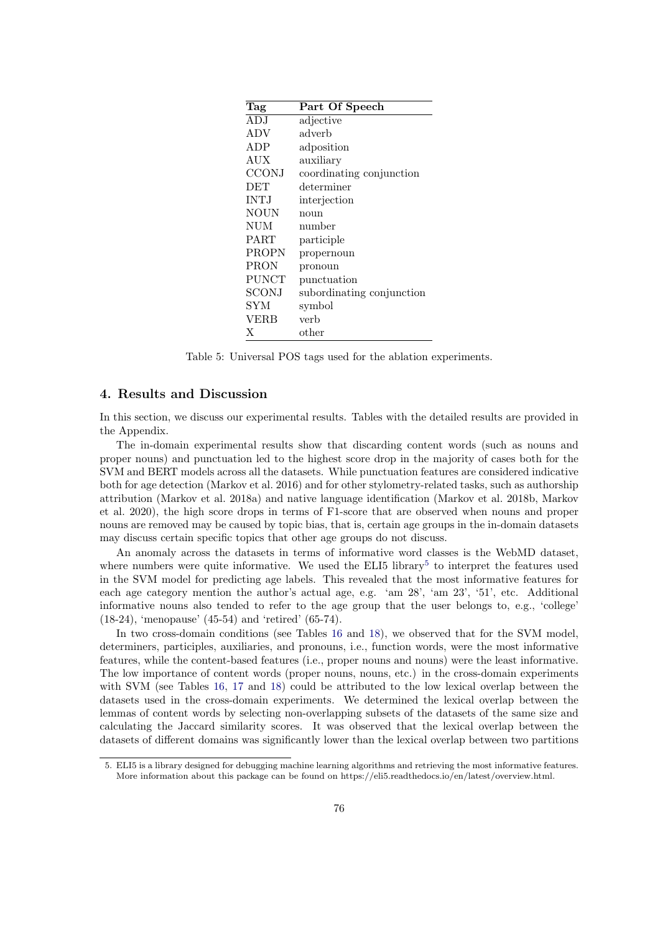<span id="page-5-0"></span>

| Tag          | Part Of Speech            |
|--------------|---------------------------|
| ADJ          | adjective                 |
| ADV          | adverb                    |
| ADP          | adposition                |
| AUX          | auxiliary                 |
| <b>CCONJ</b> | coordinating conjunction  |
| DET          | determiner                |
| <b>INTJ</b>  | interjection              |
| NOUN         | noun                      |
| NUM          | number                    |
| <b>PART</b>  | participle                |
| PROPN        | propernoun                |
| <b>PRON</b>  | pronoun                   |
| <b>PUNCT</b> | punctuation               |
| SCONJ        | subordinating conjunction |
| SYM          | symbol                    |
| VERB         | verb                      |
| X            | other                     |

Table 5: Universal POS tags used for the ablation experiments.

## 4. Results and Discussion

In this section, we discuss our experimental results. Tables with the detailed results are provided in the Appendix.

The in-domain experimental results show that discarding content words (such as nouns and proper nouns) and punctuation led to the highest score drop in the majority of cases both for the SVM and BERT models across all the datasets. While punctuation features are considered indicative both for age detection (Markov et al. 2016) and for other stylometry-related tasks, such as authorship attribution (Markov et al. 2018a) and native language identification (Markov et al. 2018b, Markov et al. 2020), the high score drops in terms of F1-score that are observed when nouns and proper nouns are removed may be caused by topic bias, that is, certain age groups in the in-domain datasets may discuss certain specific topics that other age groups do not discuss.

An anomaly across the datasets in terms of informative word classes is the WebMD dataset, where numbers were quite informative. We used the ELI[5](#page-5-1) library<sup>5</sup> to interpret the features used in the SVM model for predicting age labels. This revealed that the most informative features for each age category mention the author's actual age, e.g. 'am 28', 'am 23', '51', etc. Additional informative nouns also tended to refer to the age group that the user belongs to, e.g., 'college' (18-24), 'menopause' (45-54) and 'retired' (65-74).

In two cross-domain conditions (see Tables [16](#page-12-0) and [18\)](#page-12-1), we observed that for the SVM model, determiners, participles, auxiliaries, and pronouns, i.e., function words, were the most informative features, while the content-based features (i.e., proper nouns and nouns) were the least informative. The low importance of content words (proper nouns, nouns, etc.) in the cross-domain experiments with SVM (see Tables [16,](#page-12-0) [17](#page-12-0) and [18\)](#page-12-1) could be attributed to the low lexical overlap between the datasets used in the cross-domain experiments. We determined the lexical overlap between the lemmas of content words by selecting non-overlapping subsets of the datasets of the same size and calculating the Jaccard similarity scores. It was observed that the lexical overlap between the datasets of different domains was significantly lower than the lexical overlap between two partitions

<span id="page-5-1"></span><sup>5.</sup> ELI5 is a library designed for debugging machine learning algorithms and retrieving the most informative features. More information about this package can be found on https://eli5.readthedocs.io/en/latest/overview.html.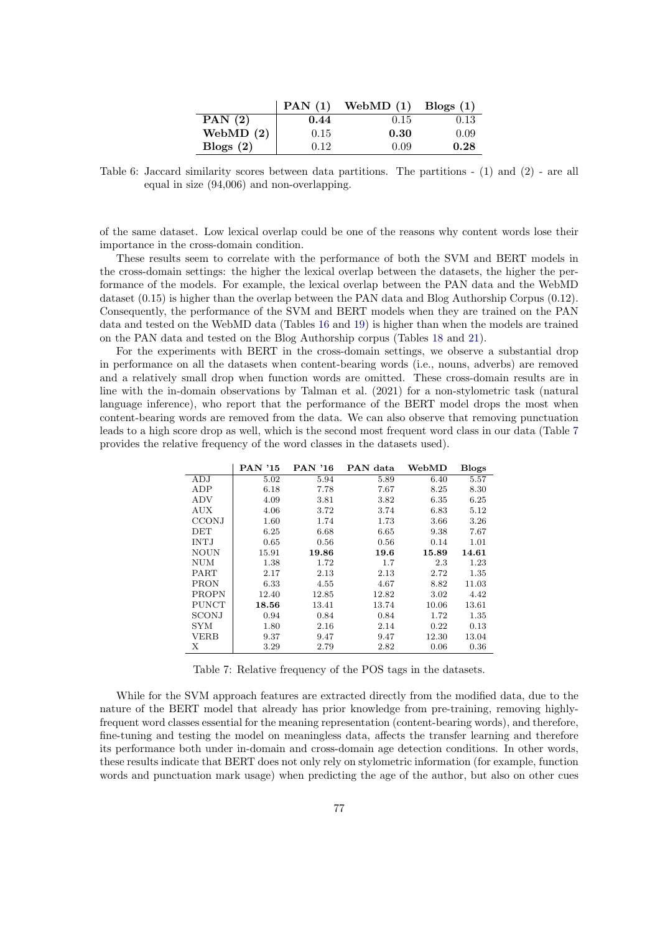|             | PAN(1) | WebMD $(1)$ | Blogs $(1)$ |
|-------------|--------|-------------|-------------|
| PAN $(2)$   | 0.44   | 0.15        | 0.13        |
| WebMD $(2)$ | 0.15   | 0.30        | 0.09        |
| Blogs $(2)$ | 0.12   | 0.09        | 0.28        |

Table 6: Jaccard similarity scores between data partitions. The partitions - (1) and (2) - are all equal in size (94,006) and non-overlapping.

of the same dataset. Low lexical overlap could be one of the reasons why content words lose their importance in the cross-domain condition.

These results seem to correlate with the performance of both the SVM and BERT models in the cross-domain settings: the higher the lexical overlap between the datasets, the higher the performance of the models. For example, the lexical overlap between the PAN data and the WebMD dataset (0.15) is higher than the overlap between the PAN data and Blog Authorship Corpus (0.12). Consequently, the performance of the SVM and BERT models when they are trained on the PAN data and tested on the WebMD data (Tables [16](#page-12-0) and [19\)](#page-13-0) is higher than when the models are trained on the PAN data and tested on the Blog Authorship corpus (Tables [18](#page-12-1) and [21\)](#page-13-1).

For the experiments with BERT in the cross-domain settings, we observe a substantial drop in performance on all the datasets when content-bearing words (i.e., nouns, adverbs) are removed and a relatively small drop when function words are omitted. These cross-domain results are in line with the in-domain observations by Talman et al. (2021) for a non-stylometric task (natural language inference), who report that the performance of the BERT model drops the most when content-bearing words are removed from the data. We can also observe that removing punctuation leads to a high score drop as well, which is the second most frequent word class in our data (Table [7](#page-6-0) provides the relative frequency of the word classes in the datasets used).

<span id="page-6-0"></span>

|              | PAN '15 | <b>PAN '16</b> | PAN data | WebMD | <b>Blogs</b> |
|--------------|---------|----------------|----------|-------|--------------|
| ADJ          | 5.02    | 5.94           | 5.89     | 6.40  | 5.57         |
| ADP          | 6.18    | 7.78           | 7.67     | 8.25  | 8.30         |
| ADV          | 4.09    | 3.81           | 3.82     | 6.35  | 6.25         |
| <b>AUX</b>   | 4.06    | 3.72           | 3.74     | 6.83  | 5.12         |
| <b>CCONJ</b> | 1.60    | 1.74           | 1.73     | 3.66  | 3.26         |
| DET          | 6.25    | 6.68           | 6.65     | 9.38  | 7.67         |
| <b>INTJ</b>  | 0.65    | 0.56           | 0.56     | 0.14  | 1.01         |
| <b>NOUN</b>  | 15.91   | 19.86          | 19.6     | 15.89 | 14.61        |
| NUM          | 1.38    | 1.72           | 1.7      | 2.3   | 1.23         |
| PART         | 2.17    | 2.13           | 2.13     | 2.72  | 1.35         |
| PRON         | 6.33    | 4.55           | 4.67     | 8.82  | 11.03        |
| <b>PROPN</b> | 12.40   | 12.85          | 12.82    | 3.02  | 4.42         |
| <b>PUNCT</b> | 18.56   | 13.41          | 13.74    | 10.06 | 13.61        |
| SCONJ        | 0.94    | 0.84           | 0.84     | 1.72  | 1.35         |
| SYM          | 1.80    | 2.16           | 2.14     | 0.22  | 0.13         |
| VERB         | 9.37    | 9.47           | 9.47     | 12.30 | 13.04        |
| Х            | 3.29    | 2.79           | 2.82     | 0.06  | 0.36         |

Table 7: Relative frequency of the POS tags in the datasets.

While for the SVM approach features are extracted directly from the modified data, due to the nature of the BERT model that already has prior knowledge from pre-training, removing highlyfrequent word classes essential for the meaning representation (content-bearing words), and therefore, fine-tuning and testing the model on meaningless data, affects the transfer learning and therefore its performance both under in-domain and cross-domain age detection conditions. In other words, these results indicate that BERT does not only rely on stylometric information (for example, function words and punctuation mark usage) when predicting the age of the author, but also on other cues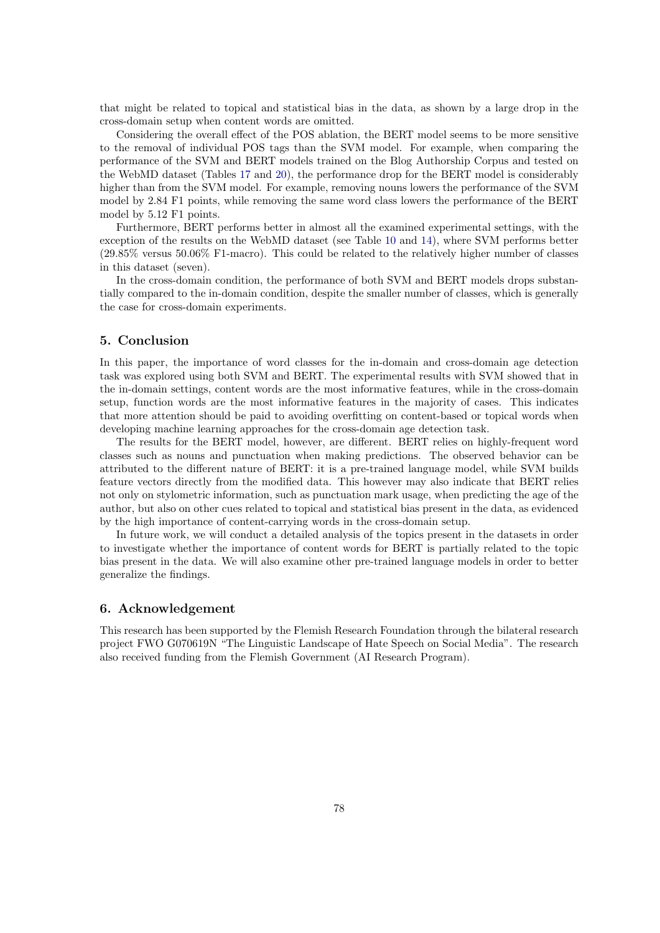that might be related to topical and statistical bias in the data, as shown by a large drop in the cross-domain setup when content words are omitted.

Considering the overall effect of the POS ablation, the BERT model seems to be more sensitive to the removal of individual POS tags than the SVM model. For example, when comparing the performance of the SVM and BERT models trained on the Blog Authorship Corpus and tested on the WebMD dataset (Tables [17](#page-12-0) and [20\)](#page-13-0), the performance drop for the BERT model is considerably higher than from the SVM model. For example, removing nouns lowers the performance of the SVM model by 2.84 F1 points, while removing the same word class lowers the performance of the BERT model by 5.12 F1 points.

Furthermore, BERT performs better in almost all the examined experimental settings, with the exception of the results on the WebMD dataset (see Table [10](#page-10-0) and [14\)](#page-11-0), where SVM performs better  $(29.85\%$  versus  $50.06\%$  F1-macro). This could be related to the relatively higher number of classes in this dataset (seven).

In the cross-domain condition, the performance of both SVM and BERT models drops substantially compared to the in-domain condition, despite the smaller number of classes, which is generally the case for cross-domain experiments.

## 5. Conclusion

In this paper, the importance of word classes for the in-domain and cross-domain age detection task was explored using both SVM and BERT. The experimental results with SVM showed that in the in-domain settings, content words are the most informative features, while in the cross-domain setup, function words are the most informative features in the majority of cases. This indicates that more attention should be paid to avoiding overfitting on content-based or topical words when developing machine learning approaches for the cross-domain age detection task.

The results for the BERT model, however, are different. BERT relies on highly-frequent word classes such as nouns and punctuation when making predictions. The observed behavior can be attributed to the different nature of BERT: it is a pre-trained language model, while SVM builds feature vectors directly from the modified data. This however may also indicate that BERT relies not only on stylometric information, such as punctuation mark usage, when predicting the age of the author, but also on other cues related to topical and statistical bias present in the data, as evidenced by the high importance of content-carrying words in the cross-domain setup.

In future work, we will conduct a detailed analysis of the topics present in the datasets in order to investigate whether the importance of content words for BERT is partially related to the topic bias present in the data. We will also examine other pre-trained language models in order to better generalize the findings.

### 6. Acknowledgement

This research has been supported by the Flemish Research Foundation through the bilateral research project FWO G070619N "The Linguistic Landscape of Hate Speech on Social Media". The research also received funding from the Flemish Government (AI Research Program).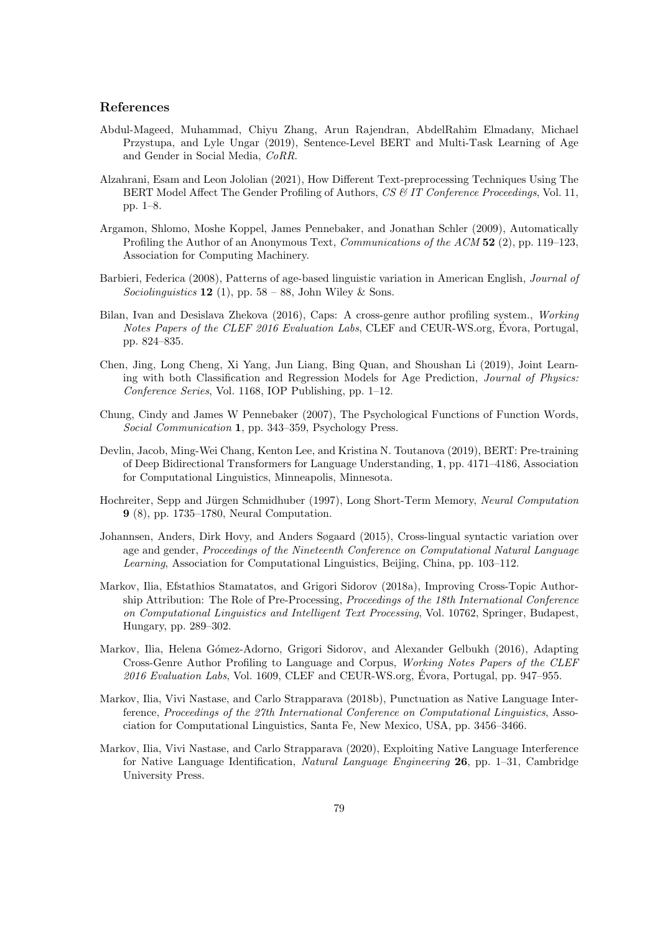## References

- Abdul-Mageed, Muhammad, Chiyu Zhang, Arun Rajendran, AbdelRahim Elmadany, Michael Przystupa, and Lyle Ungar (2019), Sentence-Level BERT and Multi-Task Learning of Age and Gender in Social Media, CoRR.
- Alzahrani, Esam and Leon Jololian (2021), How Different Text-preprocessing Techniques Using The BERT Model Affect The Gender Profiling of Authors, CS & IT Conference Proceedings, Vol. 11, pp. 1–8.
- Argamon, Shlomo, Moshe Koppel, James Pennebaker, and Jonathan Schler (2009), Automatically Profiling the Author of an Anonymous Text, Communications of the ACM 52 (2), pp. 119–123. Association for Computing Machinery.
- Barbieri, Federica (2008), Patterns of age-based linguistic variation in American English, Journal of Sociolinguistics 12 (1), pp. 58 – 88, John Wiley & Sons.
- Bilan, Ivan and Desislava Zhekova (2016), Caps: A cross-genre author profiling system., Working Notes Papers of the CLEF 2016 Evaluation Labs, CLEF and CEUR-WS.org, Evora, Portugal, pp. 824–835.
- Chen, Jing, Long Cheng, Xi Yang, Jun Liang, Bing Quan, and Shoushan Li (2019), Joint Learning with both Classification and Regression Models for Age Prediction, Journal of Physics: Conference Series, Vol. 1168, IOP Publishing, pp. 1–12.
- Chung, Cindy and James W Pennebaker (2007), The Psychological Functions of Function Words, Social Communication 1, pp. 343–359, Psychology Press.
- Devlin, Jacob, Ming-Wei Chang, Kenton Lee, and Kristina N. Toutanova (2019), BERT: Pre-training of Deep Bidirectional Transformers for Language Understanding, 1, pp. 4171–4186, Association for Computational Linguistics, Minneapolis, Minnesota.
- Hochreiter, Sepp and Jürgen Schmidhuber (1997), Long Short-Term Memory, Neural Computation 9 (8), pp. 1735–1780, Neural Computation.
- Johannsen, Anders, Dirk Hovy, and Anders Søgaard (2015), Cross-lingual syntactic variation over age and gender, Proceedings of the Nineteenth Conference on Computational Natural Language Learning, Association for Computational Linguistics, Beijing, China, pp. 103–112.
- Markov, Ilia, Efstathios Stamatatos, and Grigori Sidorov (2018a), Improving Cross-Topic Authorship Attribution: The Role of Pre-Processing, Proceedings of the 18th International Conference on Computational Linguistics and Intelligent Text Processing, Vol. 10762, Springer, Budapest, Hungary, pp. 289–302.
- Markov, Ilia, Helena Gómez-Adorno, Grigori Sidorov, and Alexander Gelbukh (2016), Adapting Cross-Genre Author Profiling to Language and Corpus, Working Notes Papers of the CLEF  $2016$  Evaluation Labs, Vol. 1609, CLEF and CEUR-WS.org, Evora, Portugal, pp. 947–955.
- Markov, Ilia, Vivi Nastase, and Carlo Strapparava (2018b), Punctuation as Native Language Interference, Proceedings of the 27th International Conference on Computational Linguistics, Association for Computational Linguistics, Santa Fe, New Mexico, USA, pp. 3456–3466.
- Markov, Ilia, Vivi Nastase, and Carlo Strapparava (2020), Exploiting Native Language Interference for Native Language Identification, Natural Language Engineering 26, pp. 1–31, Cambridge University Press.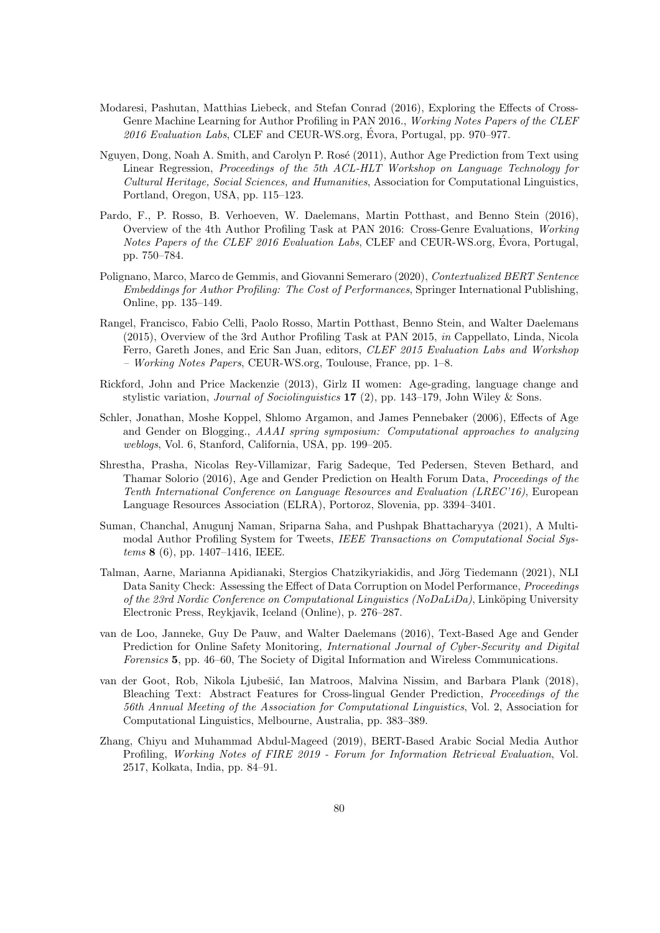- Modaresi, Pashutan, Matthias Liebeck, and Stefan Conrad (2016), Exploring the Effects of Cross-Genre Machine Learning for Author Profiling in PAN 2016., Working Notes Papers of the CLEF  $2016$  Evaluation Labs, CLEF and CEUR-WS.org, Evora, Portugal, pp. 970–977.
- Nguyen, Dong, Noah A. Smith, and Carolyn P. Rosé (2011), Author Age Prediction from Text using Linear Regression, Proceedings of the 5th ACL-HLT Workshop on Language Technology for Cultural Heritage, Social Sciences, and Humanities, Association for Computational Linguistics, Portland, Oregon, USA, pp. 115–123.
- Pardo, F., P. Rosso, B. Verhoeven, W. Daelemans, Martin Potthast, and Benno Stein (2016), Overview of the 4th Author Profiling Task at PAN 2016: Cross-Genre Evaluations, Working Notes Papers of the CLEF 2016 Evaluation Labs, CLEF and CEUR-WS.org, Evora, Portugal, ´ pp. 750–784.
- Polignano, Marco, Marco de Gemmis, and Giovanni Semeraro (2020), Contextualized BERT Sentence Embeddings for Author Profiling: The Cost of Performances, Springer International Publishing, Online, pp. 135–149.
- Rangel, Francisco, Fabio Celli, Paolo Rosso, Martin Potthast, Benno Stein, and Walter Daelemans (2015), Overview of the 3rd Author Profiling Task at PAN 2015, in Cappellato, Linda, Nicola Ferro, Gareth Jones, and Eric San Juan, editors, CLEF 2015 Evaluation Labs and Workshop – Working Notes Papers, CEUR-WS.org, Toulouse, France, pp. 1–8.
- Rickford, John and Price Mackenzie (2013), Girlz II women: Age-grading, language change and stylistic variation, *Journal of Sociolinguistics* **17** (2), pp. 143–179, John Wiley & Sons.
- Schler, Jonathan, Moshe Koppel, Shlomo Argamon, and James Pennebaker (2006), Effects of Age and Gender on Blogging., AAAI spring symposium: Computational approaches to analyzing weblogs, Vol. 6, Stanford, California, USA, pp. 199–205.
- Shrestha, Prasha, Nicolas Rey-Villamizar, Farig Sadeque, Ted Pedersen, Steven Bethard, and Thamar Solorio (2016), Age and Gender Prediction on Health Forum Data, Proceedings of the Tenth International Conference on Language Resources and Evaluation (LREC'16), European Language Resources Association (ELRA), Portoroz, Slovenia, pp. 3394–3401.
- Suman, Chanchal, Anugunj Naman, Sriparna Saha, and Pushpak Bhattacharyya (2021), A Multimodal Author Profiling System for Tweets, IEEE Transactions on Computational Social Systems 8 (6), pp. 1407–1416, IEEE.
- Talman, Aarne, Marianna Apidianaki, Stergios Chatzikyriakidis, and Jörg Tiedemann (2021), NLI Data Sanity Check: Assessing the Effect of Data Corruption on Model Performance, Proceedings of the 23rd Nordic Conference on Computational Linguistics (NoDaLiDa), Linköping University Electronic Press, Reykjavik, Iceland (Online), p. 276–287.
- van de Loo, Janneke, Guy De Pauw, and Walter Daelemans (2016), Text-Based Age and Gender Prediction for Online Safety Monitoring, *International Journal of Cyber-Security and Digital* Forensics 5, pp. 46–60, The Society of Digital Information and Wireless Communications.
- van der Goot, Rob, Nikola Ljubešić, Ian Matroos, Malvina Nissim, and Barbara Plank (2018), Bleaching Text: Abstract Features for Cross-lingual Gender Prediction, Proceedings of the 56th Annual Meeting of the Association for Computational Linguistics, Vol. 2, Association for Computational Linguistics, Melbourne, Australia, pp. 383–389.
- Zhang, Chiyu and Muhammad Abdul-Mageed (2019), BERT-Based Arabic Social Media Author Profiling, Working Notes of FIRE 2019 - Forum for Information Retrieval Evaluation, Vol. 2517, Kolkata, India, pp. 84–91.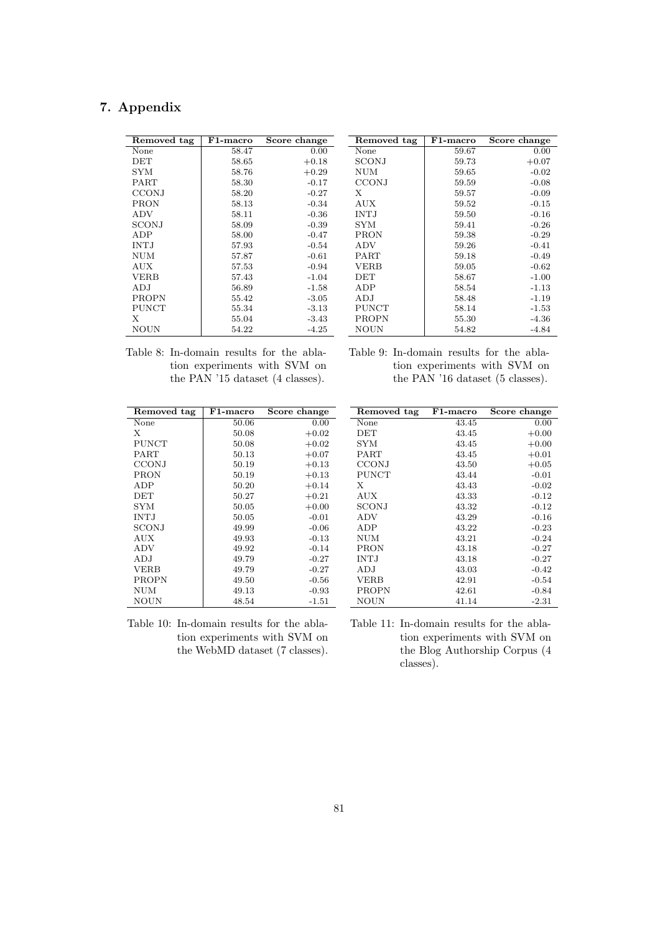# 7. Appendix

| Removed tag  | F1-macro | Score change |
|--------------|----------|--------------|
| None         | 58.47    | 0.00         |
| DET          | 58.65    | $+0.18$      |
| SYM          | 58.76    | $+0.29$      |
| <b>PART</b>  | 58.30    | $-0.17$      |
| CCONJ        | 58.20    | $-0.27$      |
| PRON         | 58.13    | $-0.34$      |
| ADV          | 58.11    | $-0.36$      |
| SCONJ        | 58.09    | $-0.39$      |
| ADP          | 58.00    | $-0.47$      |
| INT.J        | 57.93    | $-0.54$      |
| NUM          | 57.87    | $-0.61$      |
| AUX          | 57.53    | $-0.94$      |
| <b>VERB</b>  | 57.43    | $-1.04$      |
| ADJ          | 56.89    | $-1.58$      |
| <b>PROPN</b> | 55.42    | $-3.05$      |
| PUNCT        | 55.34    | $-3.13$      |
| X            | 55.04    | $-3.43$      |
| NOUN         | 54.22    | $-4.25$      |

| Removed tag  | F1-macro | Score change |
|--------------|----------|--------------|
| None         | 59.67    | 0.00         |
| <b>SCONJ</b> | 59.73    | $+0.07$      |
| <b>NUM</b>   | 59.65    | $-0.02$      |
| <b>CCONJ</b> | 59.59    | $-0.08$      |
| X            | 59.57    | $-0.09$      |
| <b>AUX</b>   | 59.52    | $-0.15$      |
| <b>INTJ</b>  | 59.50    | $-0.16$      |
| SYM          | 59.41    | $-0.26$      |
| <b>PRON</b>  | 59.38    | $-0.29$      |
| <b>ADV</b>   | 59.26    | $-0.41$      |
| PART         | 59.18    | $-0.49$      |
| VERB         | 59.05    | $-0.62$      |
| <b>DET</b>   | 58.67    | $-1.00$      |
| ADP          | 58.54    | -1.13        |
| ADJ          | 58.48    | $-1.19$      |
| <b>PUNCT</b> | 58.14    | $-1.53$      |
| <b>PROPN</b> | 55.30    | -4.36        |
| <b>NOUN</b>  | 54.82    | $-4.84$      |

| Table 8: In-domain results for the abla- |  |                                   |  |  |
|------------------------------------------|--|-----------------------------------|--|--|
|                                          |  | tion experiments with SVM on      |  |  |
|                                          |  | the PAN $15$ dataset (4 classes). |  |  |

| Table 9: In-domain results for the abla- |  |
|------------------------------------------|--|
| tion experiments with SVM on             |  |
| the PAN '16 dataset (5 classes).         |  |

<span id="page-10-0"></span>

| Removed tag  | F1-macro | Score change |
|--------------|----------|--------------|
| None         | 50.06    | 0.00         |
| X            | 50.08    | $+0.02$      |
| <b>PUNCT</b> | 50.08    | $+0.02$      |
| <b>PART</b>  | 50.13    | $+0.07$      |
| <b>CCONJ</b> | 50.19    | $+0.13$      |
| PRON         | 50.19    | $+0.13$      |
| ADP          | 50.20    | $+0.14$      |
| <b>DET</b>   | 50.27    | $+0.21$      |
| <b>SYM</b>   | 50.05    | $+0.00$      |
| <b>INTJ</b>  | 50.05    | $-0.01$      |
| SCONJ        | 49.99    | $-0.06$      |
| <b>AUX</b>   | 49.93    | $-0.13$      |
| <b>ADV</b>   | 49.92    | $-0.14$      |
| ADJ          | 49.79    | $-0.27$      |
| <b>VERB</b>  | 49.79    | $-0.27$      |
| PROPN        | 49.50    | $-0.56$      |
| <b>NUM</b>   | 49.13    | $-0.93$      |
| NOUN         | 48.54    | $-1.51$      |
|              |          |              |

| Removed tag  | $F1$ -macro | Score change |
|--------------|-------------|--------------|
| None         | 43.45       | 0.00         |
| $\rm DET$    | 43.45       | $+0.00$      |
| SYM          | 43.45       | $+0.00$      |
| PART         | 43.45       | $+0.01$      |
| <b>CCONJ</b> | 43.50       | $+0.05$      |
| <b>PUNCT</b> | 43.44       | $-0.01$      |
| Х            | 43.43       | $-0.02$      |
| AUX          | 43.33       | $-0.12$      |
| SCONJ        | 43.32       | $-0.12$      |
| ADV          | 43.29       | $-0.16$      |
| ADP          | 43.22       | $-0.23$      |
| NUM          | 43.21       | $-0.24$      |
| PRON         | 43.18       | $-0.27$      |
| <b>INTJ</b>  | 43.18       | $-0.27$      |
| ADJ          | 43.03       | $-0.42$      |
| <b>VERB</b>  | 42.91       | $-0.54$      |
| <b>PROPN</b> | 42.61       | $-0.84$      |
| NOUN         | 41.14       | -2.31        |

Table 10: In-domain results for the ablation experiments with SVM on the WebMD dataset (7 classes).

Table 11: In-domain results for the ablation experiments with SVM on the Blog Authorship Corpus (4 classes).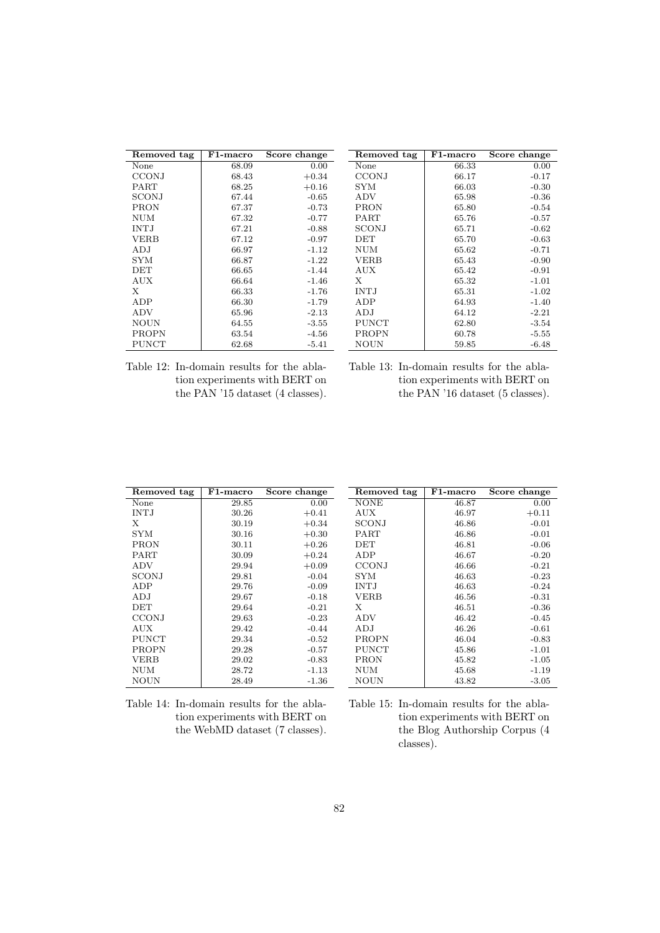| Removed tag  | $_{\rm F1-maccro}$ | Score change |
|--------------|--------------------|--------------|
| None         | 68.09              | 0.00         |
| <b>CCONJ</b> | 68.43              | $+0.34$      |
| <b>PART</b>  | 68.25              | $+0.16$      |
| SCONJ        | 67.44              | $-0.65$      |
| PRON         | 67.37              | $-0.73$      |
| NUM          | 67.32              | $-0.77$      |
| <b>INTJ</b>  | 67.21              | $-0.88$      |
| <b>VERB</b>  | 67.12              | $-0.97$      |
| ADJ          | 66.97              | $-1.12$      |
| SYM          | 66.87              | $-1.22$      |
| DET          | 66.65              | $-1.44$      |
| AUX          | 66.64              | $-1.46$      |
| X            | 66.33              | $-1.76$      |
| ADP          | 66.30              | $-1.79$      |
| <b>ADV</b>   | 65.96              | $-2.13$      |
| <b>NOUN</b>  | 64.55              | $-3.55$      |
| PROPN        | 63.54              | -4.56        |
| <b>PUNCT</b> | 62.68              | $-5.41$      |

| Removed tag  | $_{\rm F1-maccro}$ | Score change |
|--------------|--------------------|--------------|
| None         | 66.33              | 0.00         |
| <b>CCONJ</b> | 66.17              | $-0.17$      |
| SYM          | 66.03              | $-0.30$      |
| <b>ADV</b>   | 65.98              | $-0.36$      |
| PRON         | 65.80              | $-0.54$      |
| <b>PART</b>  | 65.76              | $-0.57$      |
| SCONJ        | 65.71              | $-0.62$      |
| DET          | 65.70              | $-0.63$      |
| NUM          | 65.62              | $-0.71$      |
| <b>VERB</b>  | 65.43              | $-0.90$      |
| AUX          | 65.42              | $-0.91$      |
| X            | 65.32              | $-1.01$      |
| <b>INTJ</b>  | 65.31              | $-1.02$      |
| ADP          | 64.93              | $-1.40$      |
| ADJ          | 64.12              | $-2.21$      |
| <b>PUNCT</b> | 62.80              | $-3.54$      |
| PROPN        | 60.78              | $-5.55$      |
| <b>NOUN</b>  | 59.85              | $-6.48$      |

Table 12: In-domain results for the ablation experiments with BERT on the PAN '15 dataset (4 classes).

| Table 13: In-domain results for the abla- |
|-------------------------------------------|
| tion experiments with BERT on             |
| the PAN '16 dataset (5 classes).          |

<span id="page-11-0"></span>

| Removed tag  | F1-macro | Score change | Removed tag  | F1-macro | Score change |
|--------------|----------|--------------|--------------|----------|--------------|
| None         | 29.85    | 0.00         | <b>NONE</b>  | 46.87    | 0.00         |
| <b>INTJ</b>  | 30.26    | $+0.41$      | AUX          | 46.97    | $+0.11$      |
| X            | 30.19    | $+0.34$      | <b>SCONJ</b> | 46.86    | $-0.01$      |
| <b>SYM</b>   | 30.16    | $+0.30$      | PART         | 46.86    | $-0.01$      |
| <b>PRON</b>  | 30.11    | $+0.26$      | DET          | 46.81    | $-0.06$      |
| PART         | 30.09    | $+0.24$      | ADP          | 46.67    | $-0.20$      |
| ADV          | 29.94    | $+0.09$      | <b>CCONJ</b> | 46.66    | $-0.21$      |
| SCONJ        | 29.81    | $-0.04$      | <b>SYM</b>   | 46.63    | $-0.23$      |
| ADP          | 29.76    | $-0.09$      | <b>INTJ</b>  | 46.63    | $-0.24$      |
| ADJ          | 29.67    | $-0.18$      | <b>VERB</b>  | 46.56    | $-0.31$      |
| DET          | 29.64    | $-0.21$      | Х            | 46.51    | $-0.36$      |
| <b>CCONJ</b> | 29.63    | $-0.23$      | ADV          | 46.42    | $-0.45$      |
| AUX.         | 29.42    | $-0.44$      | ADJ          | 46.26    | $-0.61$      |
| <b>PUNCT</b> | 29.34    | $-0.52$      | <b>PROPN</b> | 46.04    | $-0.83$      |
| <b>PROPN</b> | 29.28    | $-0.57$      | <b>PUNCT</b> | 45.86    | $-1.01$      |
| <b>VERB</b>  | 29.02    | $-0.83$      | <b>PRON</b>  | 45.82    | $-1.05$      |
| <b>NUM</b>   | 28.72    | $-1.13$      | NUM          | 45.68    | $-1.19$      |
| <b>NOUN</b>  | 28.49    | $-1.36$      | <b>NOUN</b>  | 43.82    | $-3.05$      |

Table 14: In-domain results for the ablation experiments with BERT on the WebMD dataset (7 classes).

Table 15: In-domain results for the ablation experiments with BERT on the Blog Authorship Corpus (4 classes).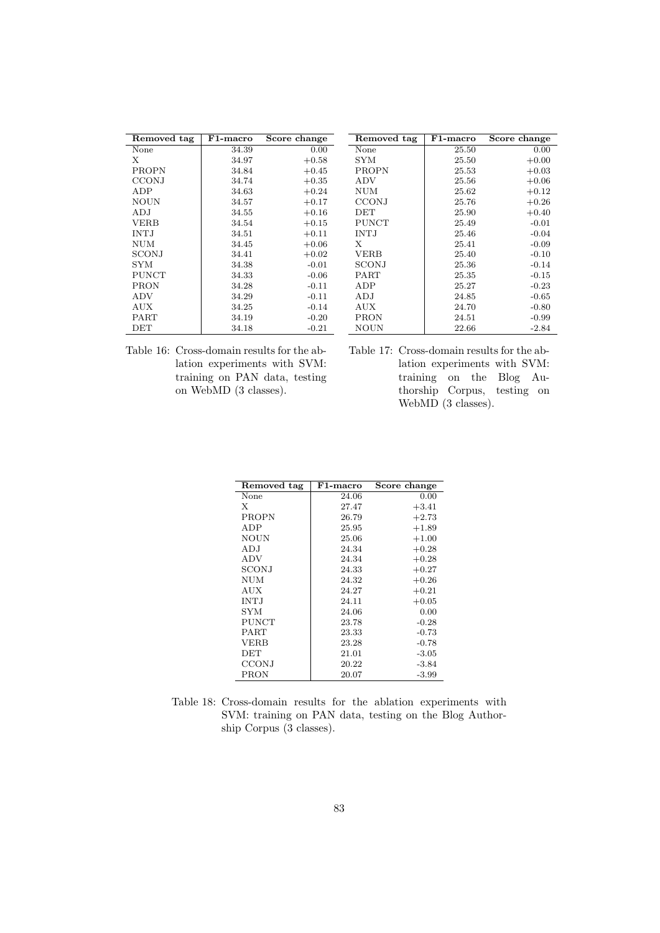<span id="page-12-0"></span>

| Removed tag  | F1-macro | Score change | Removed tag  | F1-macro | Score change |
|--------------|----------|--------------|--------------|----------|--------------|
| None         | 34.39    | 0.00         | None         | 25.50    | 0.00         |
| X            | 34.97    | $+0.58$      | <b>SYM</b>   | 25.50    | $+0.00$      |
| PROPN        | 34.84    | $+0.45$      | <b>PROPN</b> | 25.53    | $+0.03$      |
| <b>CCONJ</b> | 34.74    | $+0.35$      | ADV          | 25.56    | $+0.06$      |
| ADP          | 34.63    | $+0.24$      | <b>NUM</b>   | 25.62    | $+0.12$      |
| <b>NOUN</b>  | 34.57    | $+0.17$      | <b>CCONJ</b> | 25.76    | $+0.26$      |
| ADJ          | 34.55    | $+0.16$      | DET          | 25.90    | $+0.40$      |
| <b>VERB</b>  | 34.54    | $+0.15$      | <b>PUNCT</b> | 25.49    | $-0.01$      |
| <b>INTJ</b>  | 34.51    | $+0.11$      | <b>INTJ</b>  | 25.46    | $-0.04$      |
| <b>NUM</b>   | 34.45    | $+0.06$      | X            | 25.41    | $-0.09$      |
| <b>SCONJ</b> | 34.41    | $+0.02$      | <b>VERB</b>  | 25.40    | $-0.10$      |
| <b>SYM</b>   | 34.38    | $-0.01$      | SCONJ        | 25.36    | $-0.14$      |
| <b>PUNCT</b> | 34.33    | $-0.06$      | PART         | 25.35    | $-0.15$      |
| <b>PRON</b>  | 34.28    | $-0.11$      | ADP          | 25.27    | $-0.23$      |
| ADV          | 34.29    | $-0.11$      | ADJ          | 24.85    | $-0.65$      |
| <b>AUX</b>   | 34.25    | $-0.14$      | AUX          | 24.70    | $-0.80$      |
| PART         | 34.19    | $-0.20$      | <b>PRON</b>  | 24.51    | $-0.99$      |
| DET          | 34.18    | $-0.21$      | NOUN         | 22.66    | $-2.84$      |
|              |          |              |              |          |              |

<span id="page-12-1"></span>Table 16: Cross-domain results for the ablation experiments with SVM: training on PAN data, testing on WebMD (3 classes).

| Table 17: Cross-domain results for the ab- |  |                              |                              |  |
|--------------------------------------------|--|------------------------------|------------------------------|--|
|                                            |  |                              | lation experiments with SVM: |  |
|                                            |  |                              | training on the Blog Au-     |  |
|                                            |  |                              | thorship Corpus, testing on  |  |
|                                            |  | WebMD $(3 \text{ classes}).$ |                              |  |

| Removed tag  | F1-macro | Score change |
|--------------|----------|--------------|
| None         | 24.06    | 0.00         |
| X            | 27.47    | $+3.41$      |
| PROPN        | 26.79    | $+2.73$      |
| ADP          | 25.95    | $+1.89$      |
| <b>NOUN</b>  | 25.06    | $+1.00$      |
| ADJ          | 24.34    | $+0.28$      |
| <b>ADV</b>   | 24.34    | $+0.28$      |
| SCONJ        | 24.33    | $+0.27$      |
| NUM          | 24.32    | $+0.26$      |
| <b>AUX</b>   | 24.27    | $+0.21$      |
| <b>INTJ</b>  | 24.11    | $+0.05$      |
| <b>SYM</b>   | 24.06    | 0.00         |
| <b>PUNCT</b> | 23.78    | $-0.28$      |
| <b>PART</b>  | 23.33    | $-0.73$      |
| VERB         | 23.28    | $-0.78$      |
| DET          | 21.01    | $-3.05$      |
| CCONJ        | 20.22    | $-3.84$      |
| PRON         | 20.07    | -3.99        |

| Table 18: Cross-domain results for the ablation experiments with |  |  |  |  |  |
|------------------------------------------------------------------|--|--|--|--|--|
| SVM: training on PAN data, testing on the Blog Author-           |  |  |  |  |  |
| ship Corpus (3 classes).                                         |  |  |  |  |  |